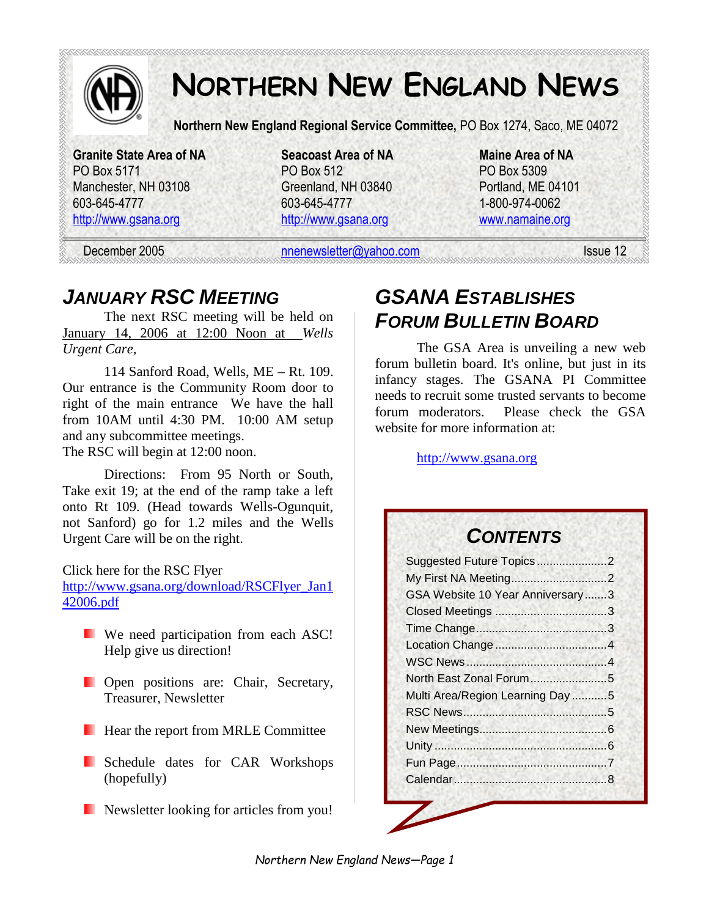

# **NORTHERN NEW ENGLAND NEWS**

**Northern New England Regional Service Committee,** PO Box 1274, Saco, ME 04072

**Granite State Area of NA Seacoast Area of NA Maine Area of NA**  PO Box 5171 PO Box 512 PO Box 5309 Manchester, NH 03108 Greenland, NH 03840 Portland, ME 04101 603-645-4777 603-645-4777 1-800-974-0062

http://www.gsana.org http://www.gsana.org www.namaine.org

December 2005 nnenewsletter@yahoo.com Issue 12

# *JANUARY RSC MEETING*

The next RSC meeting will be held on January 14, 2006 at 12:00 Noon at *Wells Urgent Care,* 

114 Sanford Road, Wells, ME – Rt. 109. Our entrance is the Community Room door to right of the main entrance We have the hall from 10AM until 4:30 PM. 10:00 AM setup and any subcommittee meetings. The RSC will begin at 12:00 noon.

Directions: From 95 North or South, Take exit 19; at the end of the ramp take a left onto Rt 109. (Head towards Wells-Ogunquit, not Sanford) go for 1.2 miles and the Wells Urgent Care will be on the right.

Click here for the RSC Flyer

http://www.gsana.org/download/RSCFlyer\_Jan1 42006.pdf

- **We need participation from each ASC!** Help give us direction!
- **Open** positions are: Chair, Secretary, Treasurer, Newsletter
- **Hear the report from MRLE Committee**
- **Schedule dates for CAR Workshops** (hopefully)
- Newsletter looking for articles from you!

# *GSANA ESTABLISHES FORUM BULLETIN BOARD*

The GSA Area is unveiling a new web forum bulletin board. It's online, but just in its infancy stages. The GSANA PI Committee needs to recruit some trusted servants to become forum moderators. Please check the GSA website for more information at:

http://www.gsana.org

### *CONTENTS*

| Suggested Future Topics2         |  |
|----------------------------------|--|
|                                  |  |
| GSA Website 10 Year Anniversary3 |  |
|                                  |  |
|                                  |  |
|                                  |  |
|                                  |  |
| North East Zonal Forum5          |  |
| Multi Area/Region Learning Day 5 |  |
|                                  |  |
|                                  |  |
|                                  |  |
|                                  |  |
|                                  |  |
|                                  |  |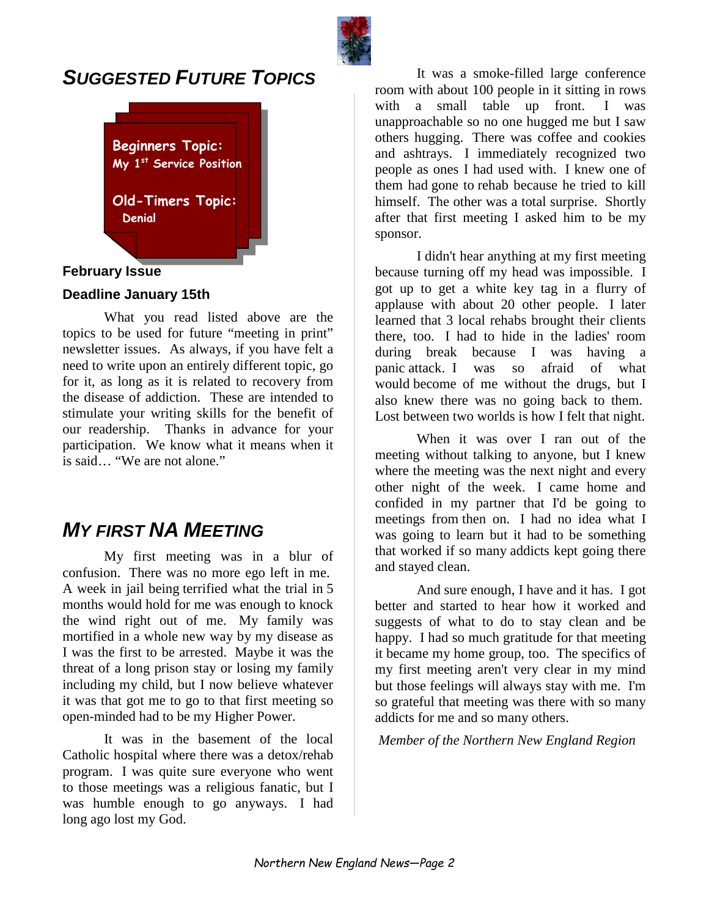

### *SUGGESTED FUTURE TOPICS*



#### **February Issue**

#### **Deadline January 15th**

What you read listed above are the topics to be used for future "meeting in print" newsletter issues. As always, if you have felt a need to write upon an entirely different topic, go for it, as long as it is related to recovery from the disease of addiction. These are intended to stimulate your writing skills for the benefit of our readership. Thanks in advance for your participation. We know what it means when it is said… "We are not alone."

### *MY FIRST NA MEETING*

My first meeting was in a blur of confusion. There was no more ego left in me. A week in jail being terrified what the trial in 5 months would hold for me was enough to knock the wind right out of me. My family was mortified in a whole new way by my disease as I was the first to be arrested. Maybe it was the threat of a long prison stay or losing my family including my child, but I now believe whatever it was that got me to go to that first meeting so open-minded had to be my Higher Power.

It was in the basement of the local Catholic hospital where there was a detox/rehab program. I was quite sure everyone who went to those meetings was a religious fanatic, but I was humble enough to go anyways. I had long ago lost my God.

It was a smoke-filled large conference room with about 100 people in it sitting in rows with a small table up front. I was unapproachable so no one hugged me but I saw others hugging. There was coffee and cookies and ashtrays. I immediately recognized two people as ones I had used with. I knew one of them had gone to rehab because he tried to kill himself. The other was a total surprise. Shortly after that first meeting I asked him to be my sponsor.

I didn't hear anything at my first meeting because turning off my head was impossible. I got up to get a white key tag in a flurry of applause with about 20 other people. I later learned that 3 local rehabs brought their clients there, too. I had to hide in the ladies' room during break because I was having a panic attack. I was so afraid of what would become of me without the drugs, but I also knew there was no going back to them. Lost between two worlds is how I felt that night.

When it was over I ran out of the meeting without talking to anyone, but I knew where the meeting was the next night and every other night of the week. I came home and confided in my partner that I'd be going to meetings from then on. I had no idea what I was going to learn but it had to be something that worked if so many addicts kept going there and stayed clean.

And sure enough, I have and it has. I got better and started to hear how it worked and suggests of what to do to stay clean and be happy. I had so much gratitude for that meeting it became my home group, too. The specifics of my first meeting aren't very clear in my mind but those feelings will always stay with me. I'm so grateful that meeting was there with so many addicts for me and so many others.

*Member of the Northern New England Region*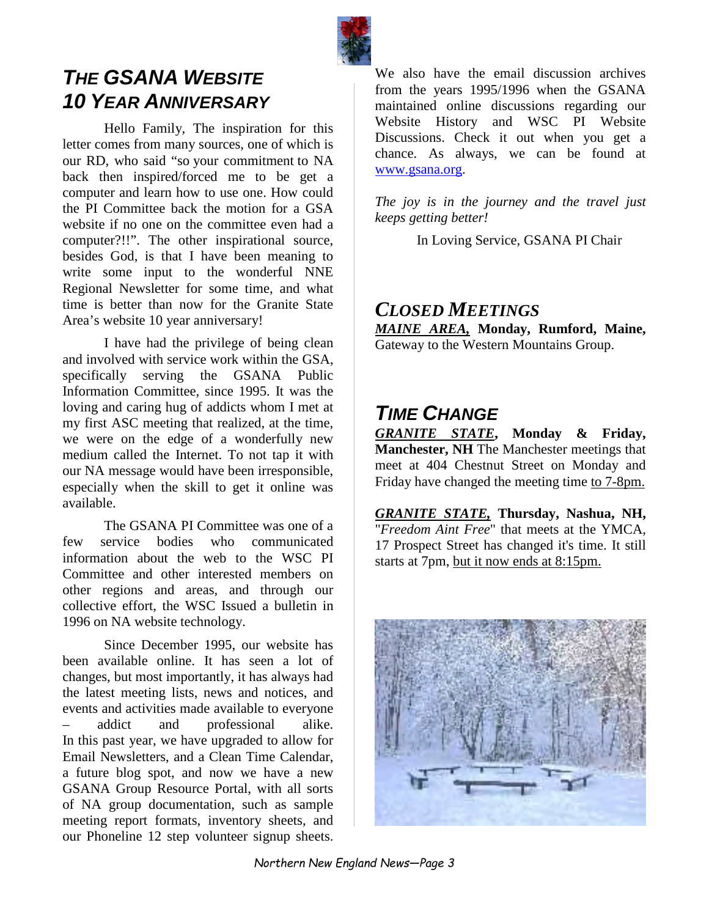

# *THE GSANA WEBSITE 10 YEAR ANNIVERSARY*

Hello Family, The inspiration for this letter comes from many sources, one of which is our RD, who said "so your commitment to NA back then inspired/forced me to be get a computer and learn how to use one. How could the PI Committee back the motion for a GSA website if no one on the committee even had a computer?!!". The other inspirational source, besides God, is that I have been meaning to write some input to the wonderful NNE Regional Newsletter for some time, and what time is better than now for the Granite State Area's website 10 year anniversary!

I have had the privilege of being clean and involved with service work within the GSA, specifically serving the GSANA Public Information Committee, since 1995. It was the loving and caring hug of addicts whom I met at my first ASC meeting that realized, at the time, we were on the edge of a wonderfully new medium called the Internet. To not tap it with our NA message would have been irresponsible, especially when the skill to get it online was available.

The GSANA PI Committee was one of a few service bodies who communicated information about the web to the WSC PI Committee and other interested members on other regions and areas, and through our collective effort, the WSC Issued a bulletin in 1996 on NA website technology.

Since December 1995, our website has been available online. It has seen a lot of changes, but most importantly, it has always had the latest meeting lists, news and notices, and events and activities made available to everyone – addict and professional alike. In this past year, we have upgraded to allow for Email Newsletters, and a Clean Time Calendar, a future blog spot, and now we have a new GSANA Group Resource Portal, with all sorts of NA group documentation, such as sample meeting report formats, inventory sheets, and our Phoneline 12 step volunteer signup sheets.

We also have the email discussion archives from the years 1995/1996 when the GSANA maintained online discussions regarding our Website History and WSC PI Website Discussions. Check it out when you get a chance. As always, we can be found at www.gsana.org.

*The joy is in the journey and the travel just keeps getting better!* 

In Loving Service, GSANA PI Chair

### *CLOSED MEETINGS*

*MAINE AREA,* **Monday, Rumford, Maine,**  Gateway to the Western Mountains Group.

### *TIME CHANGE*

*GRANITE STATE***, Monday & Friday, Manchester, NH** The Manchester meetings that meet at 404 Chestnut Street on Monday and Friday have changed the meeting time to 7-8pm.

*GRANITE STATE,* **Thursday, Nashua, NH,** "*Freedom Aint Free*" that meets at the YMCA, 17 Prospect Street has changed it's time. It still starts at 7pm, but it now ends at 8:15pm.

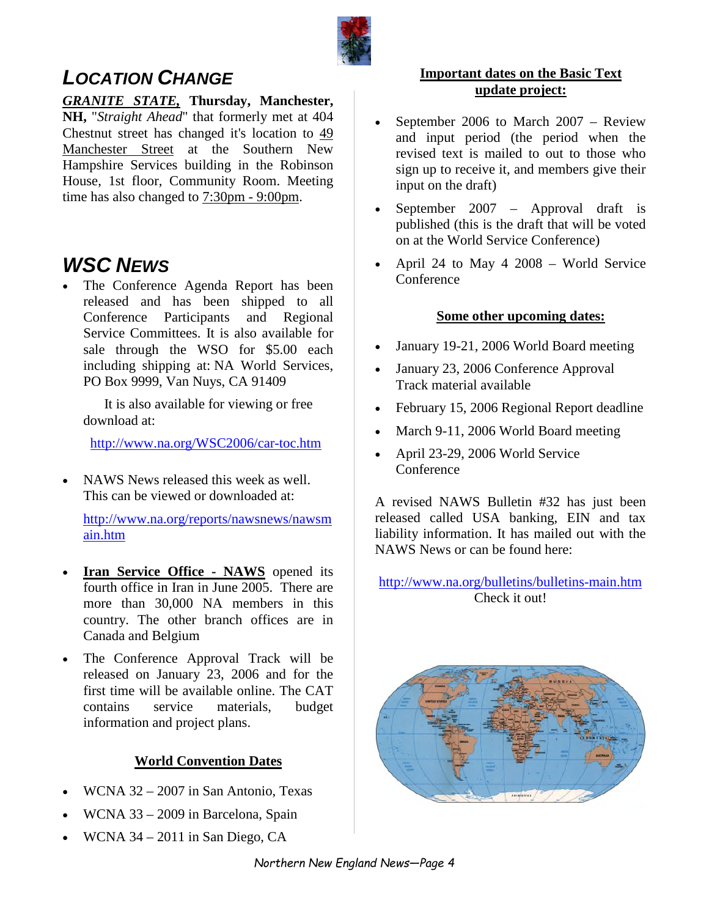

# *LOCATION CHANGE*

*GRANITE STATE,* **Thursday, Manchester, NH,** "*Straight Ahead*" that formerly met at 404 Chestnut street has changed it's location to 49 Manchester Street at the Southern New Hampshire Services building in the Robinson House, 1st floor, Community Room. Meeting time has also changed to  $7:30 \text{pm}$  - 9:00pm.

# *WSC NEWS*

The Conference Agenda Report has been released and has been shipped to all Conference Participants and Regional Service Committees. It is also available for sale through the WSO for \$5.00 each including shipping at: NA World Services, PO Box 9999, Van Nuys, CA 91409

 It is also available for viewing or free download at:

http://www.na.org/WSC2006/car-toc.htm

• NAWS News released this week as well. This can be viewed or downloaded at:

http://www.na.org/reports/nawsnews/nawsm ain.htm

- **Iran Service Office NAWS** opened its fourth office in Iran in June 2005. There are more than 30,000 NA members in this country. The other branch offices are in Canada and Belgium
- The Conference Approval Track will be released on January 23, 2006 and for the first time will be available online. The CAT contains service materials, budget information and project plans.

#### **World Convention Dates**

- WCNA 32 2007 in San Antonio, Texas
- WCNA 33 2009 in Barcelona, Spain
- WCNA 34 2011 in San Diego, CA

#### **Important dates on the Basic Text update project:**

- September 2006 to March 2007 Review and input period (the period when the revised text is mailed to out to those who sign up to receive it, and members give their input on the draft)
- September 2007 Approval draft is published (this is the draft that will be voted on at the World Service Conference)
- April 24 to May 4 2008 World Service Conference

#### **Some other upcoming dates:**

- January 19-21, 2006 World Board meeting
- January 23, 2006 Conference Approval Track material available
- February 15, 2006 Regional Report deadline
- March 9-11, 2006 World Board meeting
- April 23-29, 2006 World Service Conference

A revised NAWS Bulletin #32 has just been released called USA banking, EIN and tax liability information. It has mailed out with the NAWS News or can be found here:

http://www.na.org/bulletins/bulletins-main.htm Check it out!

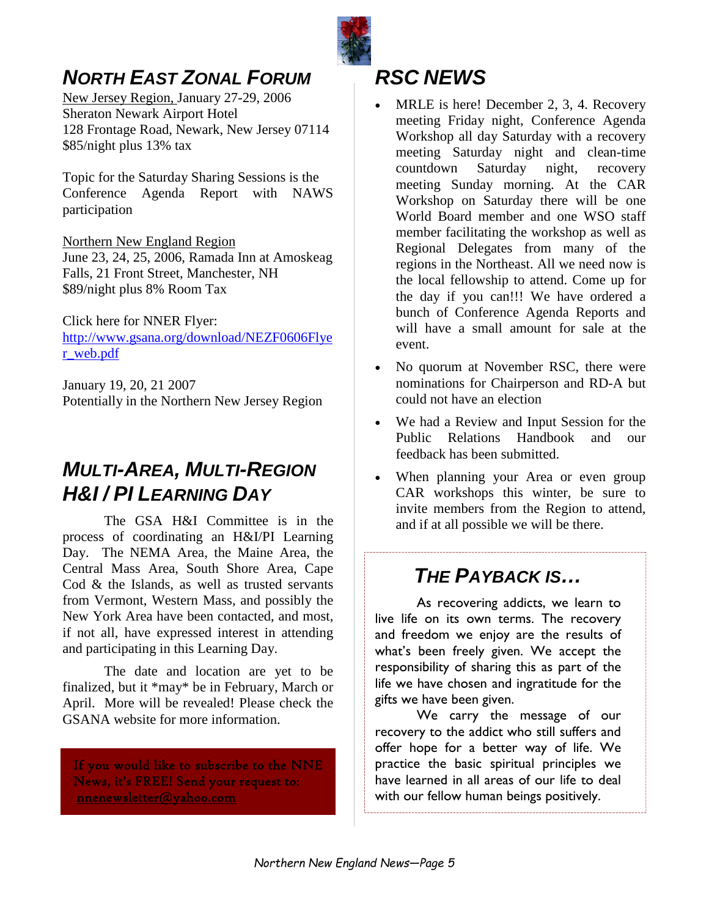

# *NORTH EAST ZONAL FORUM*

New Jersey Region, January 27-29, 2006 Sheraton Newark Airport Hotel 128 Frontage Road, Newark, New Jersey 07114 \$85/night plus 13% tax

Topic for the Saturday Sharing Sessions is the Conference Agenda Report with NAWS participation

Northern New England Region June 23, 24, 25, 2006, Ramada Inn at Amoskeag Falls, 21 Front Street, Manchester, NH \$89/night plus 8% Room Tax

Click here for NNER Flyer: http://www.gsana.org/download/NEZF0606Flye r\_web.pdf

January 19, 20, 21 2007 Potentially in the Northern New Jersey Region

# *MULTI-AREA, MULTI-REGION H&I / PI LEARNING DAY*

The GSA H&I Committee is in the process of coordinating an H&I/PI Learning Day. The NEMA Area, the Maine Area, the Central Mass Area, South Shore Area, Cape Cod & the Islands, as well as trusted servants from Vermont, Western Mass, and possibly the New York Area have been contacted, and most, if not all, have expressed interest in attending and participating in this Learning Day.

The date and location are yet to be finalized, but it \*may\* be in February, March or April. More will be revealed! Please check the GSANA website for more information.

If you would like to subscribe to the NNE News, it's FREE! Send your request to: nnenewsletter@yahoo.com

### *RSC NEWS*

- MRLE is here! December 2, 3, 4. Recovery meeting Friday night, Conference Agenda Workshop all day Saturday with a recovery meeting Saturday night and clean-time countdown Saturday night, recovery meeting Sunday morning. At the CAR Workshop on Saturday there will be one World Board member and one WSO staff member facilitating the workshop as well as Regional Delegates from many of the regions in the Northeast. All we need now is the local fellowship to attend. Come up for the day if you can!!! We have ordered a bunch of Conference Agenda Reports and will have a small amount for sale at the event.
- No quorum at November RSC, there were nominations for Chairperson and RD-A but could not have an election
- We had a Review and Input Session for the Public Relations Handbook and our feedback has been submitted.
- When planning your Area or even group CAR workshops this winter, be sure to invite members from the Region to attend, and if at all possible we will be there.

# *THE PAYBACK IS…*

As recovering addicts, we learn to live life on its own terms. The recovery and freedom we enjoy are the results of what's been freely given. We accept the responsibility of sharing this as part of the life we have chosen and ingratitude for the gifts we have been given.

We carry the message of our recovery to the addict who still suffers and offer hope for a better way of life. We practice the basic spiritual principles we have learned in all areas of our life to deal with our fellow human beings positively.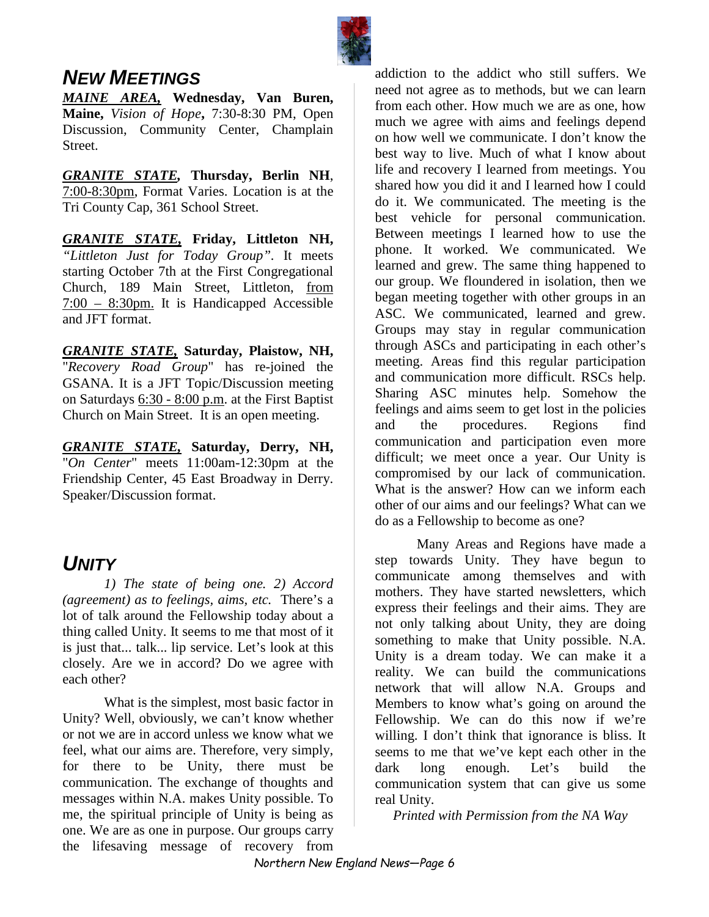

### *NEW MEETINGS*

*MAINE AREA,* **Wednesday, Van Buren, Maine,** *Vision of Hope***,** 7:30-8:30 PM, Open Discussion, Community Center, Champlain Street.

*GRANITE STATE,* **Thursday, Berlin NH**, 7:00-8:30pm, Format Varies. Location is at the Tri County Cap, 361 School Street.

*GRANITE STATE,* **Friday, Littleton NH,** *"Littleton Just for Today Group".* It meets starting October 7th at the First Congregational Church, 189 Main Street, Littleton, from 7:00 – 8:30pm. It is Handicapped Accessible and JFT format.

*GRANITE STATE,* **Saturday, Plaistow, NH,**  "*Recovery Road Group*" has re-joined the GSANA. It is a JFT Topic/Discussion meeting on Saturdays 6:30 - 8:00 p.m. at the First Baptist Church on Main Street. It is an open meeting.

*GRANITE STATE,* **Saturday, Derry, NH,**  "*On Center*" meets 11:00am-12:30pm at the Friendship Center, 45 East Broadway in Derry. Speaker/Discussion format.

### *UNITY*

*1) The state of being one. 2) Accord (agreement) as to feelings, aims, etc.* There's a lot of talk around the Fellowship today about a thing called Unity. It seems to me that most of it is just that... talk... lip service. Let's look at this closely. Are we in accord? Do we agree with each other?

What is the simplest, most basic factor in Unity? Well, obviously, we can't know whether or not we are in accord unless we know what we feel, what our aims are. Therefore, very simply, for there to be Unity, there must be communication. The exchange of thoughts and messages within N.A. makes Unity possible. To me, the spiritual principle of Unity is being as one. We are as one in purpose. Our groups carry the lifesaving message of recovery from

addiction to the addict who still suffers. We need not agree as to methods, but we can learn from each other. How much we are as one, how much we agree with aims and feelings depend on how well we communicate. I don't know the best way to live. Much of what I know about life and recovery I learned from meetings. You shared how you did it and I learned how I could do it. We communicated. The meeting is the best vehicle for personal communication. Between meetings I learned how to use the phone. It worked. We communicated. We learned and grew. The same thing happened to our group. We floundered in isolation, then we began meeting together with other groups in an ASC. We communicated, learned and grew. Groups may stay in regular communication through ASCs and participating in each other's meeting. Areas find this regular participation and communication more difficult. RSCs help. Sharing ASC minutes help. Somehow the feelings and aims seem to get lost in the policies and the procedures. Regions find communication and participation even more difficult; we meet once a year. Our Unity is compromised by our lack of communication. What is the answer? How can we inform each other of our aims and our feelings? What can we do as a Fellowship to become as one?

Many Areas and Regions have made a step towards Unity. They have begun to communicate among themselves and with mothers. They have started newsletters, which express their feelings and their aims. They are not only talking about Unity, they are doing something to make that Unity possible. N.A. Unity is a dream today. We can make it a reality. We can build the communications network that will allow N.A. Groups and Members to know what's going on around the Fellowship. We can do this now if we're willing. I don't think that ignorance is bliss. It seems to me that we've kept each other in the dark long enough. Let's build the communication system that can give us some real Unity.

*Printed with Permission from the NA Way*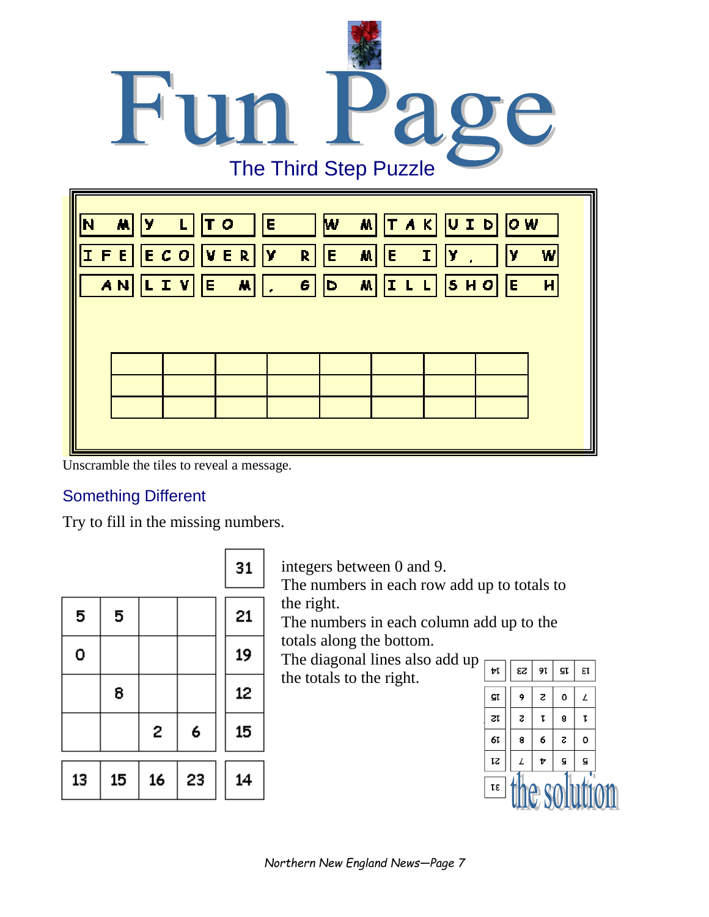

Unscramble the tiles to reveal a message.

### Something Different

Try to fill in the missing numbers.

|    |    |    |    | 31 |
|----|----|----|----|----|
| 5  | 5  |    |    | 21 |
| 0  |    |    |    | 19 |
|    | 8  |    |    | 12 |
|    |    | 2  | 6  | 15 |
| 13 | 15 | 16 | 23 | 14 |

integers between 0 and 9.

The numbers in each row add up to totals to the right.

The numbers in each column add up to the totals along the bottom.

The diagonal lines also add up

the totals to the right.